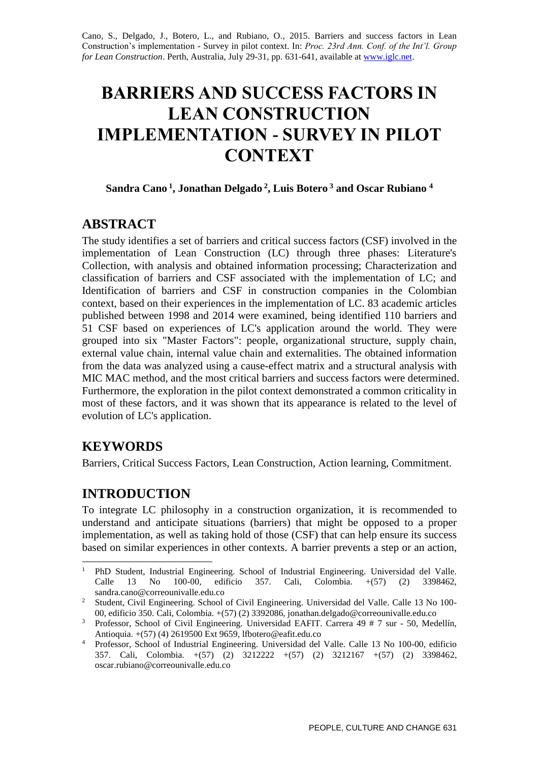Cano, S., Delgado, J., Botero, L., and Rubiano, O., 2015. Barriers and success factors in Lean Construction's implementation - Survey in pilot context. In: *Proc. 23rd Ann. Conf. of the Int'l. Group for Lean Construction*. Perth, Australia, July 29-31, pp. 631-641, available a[t www.iglc.net.](http://www.iglc.net/)

# **BARRIERS AND SUCCESS FACTORS IN LEAN CONSTRUCTION IMPLEMENTATION - SURVEY IN PILOT CONTEXT**

#### **Sandra Cano <sup>1</sup> , Jonathan Delgado <sup>2</sup> , Luis Botero <sup>3</sup> and Oscar Rubiano <sup>4</sup>**

# **ABSTRACT**

The study identifies a set of barriers and critical success factors (CSF) involved in the implementation of Lean Construction (LC) through three phases: Literature's Collection, with analysis and obtained information processing; Characterization and classification of barriers and CSF associated with the implementation of LC; and Identification of barriers and CSF in construction companies in the Colombian context, based on their experiences in the implementation of LC. 83 academic articles published between 1998 and 2014 were examined, being identified 110 barriers and 51 CSF based on experiences of LC's application around the world. They were grouped into six "Master Factors": people, organizational structure, supply chain, external value chain, internal value chain and externalities. The obtained information from the data was analyzed using a cause-effect matrix and a structural analysis with MIC MAC method, and the most critical barriers and success factors were determined. Furthermore, the exploration in the pilot context demonstrated a common criticality in most of these factors, and it was shown that its appearance is related to the level of evolution of LC's application.

# **KEYWORDS**

Barriers, Critical Success Factors, Lean Construction, Action learning, Commitment.

# **INTRODUCTION**

To integrate LC philosophy in a construction organization, it is recommended to understand and anticipate situations (barriers) that might be opposed to a proper implementation, as well as taking hold of those (CSF) that can help ensure its success based on similar experiences in other contexts. A barrier prevents a step or an action,

<sup>-</sup><sup>1</sup> PhD Student, Industrial Engineering. School of Industrial Engineering. Universidad del Valle. Calle 13 No 100-00, edificio 357. Cali, Colombia. +(57) (2) 3398462, sandra.cano@correounivalle.edu.co

<sup>2</sup> Student, Civil Engineering. School of Civil Engineering. Universidad del Valle. Calle 13 No 100- 00, edificio 350. Cali, Colombia. +(57) (2) 3392086, jonathan.delgado@correounivalle.edu.co

<sup>&</sup>lt;sup>3</sup> Professor, School of Civil Engineering. Universidad EAFIT. Carrera 49 # 7 sur - 50, Medellín, Antioquia. +(57) (4) 2619500 Ext 9659, lfbotero@eafit.edu.co

<sup>4</sup> Professor, School of Industrial Engineering. Universidad del Valle. Calle 13 No 100-00, edificio 357. Cali, Colombia. +(57) (2) 3212222 +(57) (2) 3212167 +(57) (2) 3398462, oscar.rubiano@correounivalle.edu.co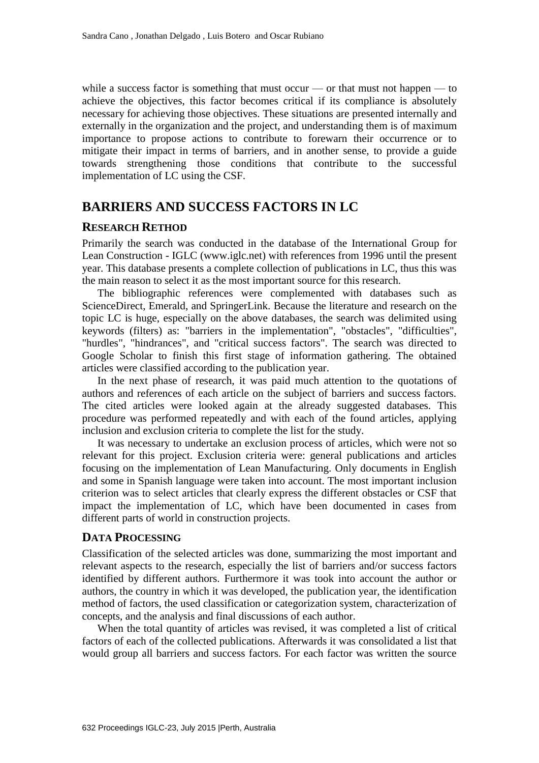while a success factor is something that must occur — or that must not happen — to achieve the objectives, this factor becomes critical if its compliance is absolutely necessary for achieving those objectives. These situations are presented internally and externally in the organization and the project, and understanding them is of maximum importance to propose actions to contribute to forewarn their occurrence or to mitigate their impact in terms of barriers, and in another sense, to provide a guide towards strengthening those conditions that contribute to the successful implementation of LC using the CSF.

### **BARRIERS AND SUCCESS FACTORS IN LC**

#### **RESEARCH RETHOD**

Primarily the search was conducted in the database of the International Group for Lean Construction - IGLC (www.iglc.net) with references from 1996 until the present year. This database presents a complete collection of publications in LC, thus this was the main reason to select it as the most important source for this research.

The bibliographic references were complemented with databases such as ScienceDirect, Emerald, and SpringerLink. Because the literature and research on the topic LC is huge, especially on the above databases, the search was delimited using keywords (filters) as: "barriers in the implementation", "obstacles", "difficulties", "hurdles", "hindrances", and "critical success factors". The search was directed to Google Scholar to finish this first stage of information gathering. The obtained articles were classified according to the publication year.

In the next phase of research, it was paid much attention to the quotations of authors and references of each article on the subject of barriers and success factors. The cited articles were looked again at the already suggested databases. This procedure was performed repeatedly and with each of the found articles, applying inclusion and exclusion criteria to complete the list for the study.

It was necessary to undertake an exclusion process of articles, which were not so relevant for this project. Exclusion criteria were: general publications and articles focusing on the implementation of Lean Manufacturing. Only documents in English and some in Spanish language were taken into account. The most important inclusion criterion was to select articles that clearly express the different obstacles or CSF that impact the implementation of LC, which have been documented in cases from different parts of world in construction projects.

#### **DATA PROCESSING**

Classification of the selected articles was done, summarizing the most important and relevant aspects to the research, especially the list of barriers and/or success factors identified by different authors. Furthermore it was took into account the author or authors, the country in which it was developed, the publication year, the identification method of factors, the used classification or categorization system, characterization of concepts, and the analysis and final discussions of each author.

When the total quantity of articles was revised, it was completed a list of critical factors of each of the collected publications. Afterwards it was consolidated a list that would group all barriers and success factors. For each factor was written the source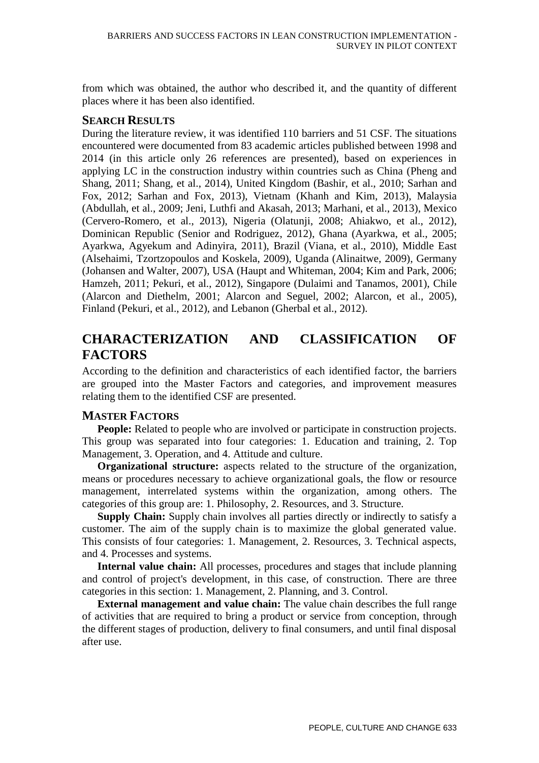from which was obtained, the author who described it, and the quantity of different places where it has been also identified.

#### **SEARCH RESULTS**

During the literature review, it was identified 110 barriers and 51 CSF. The situations encountered were documented from 83 academic articles published between 1998 and 2014 (in this article only 26 references are presented), based on experiences in applying LC in the construction industry within countries such as China (Pheng and Shang, 2011; Shang, et al., 2014), United Kingdom (Bashir, et al., 2010; Sarhan and Fox, 2012; Sarhan and Fox, 2013), Vietnam (Khanh and Kim, 2013), Malaysia (Abdullah, et al., 2009; Jeni, Luthfi and Akasah, 2013; Marhani, et al., 2013), Mexico (Cervero-Romero, et al., 2013), Nigeria (Olatunji, 2008; Ahiakwo, et al., 2012), Dominican Republic (Senior and Rodriguez, 2012), Ghana (Ayarkwa, et al., 2005; Ayarkwa, Agyekum and Adinyira, 2011), Brazil (Viana, et al., 2010), Middle East (Alsehaimi, Tzortzopoulos and Koskela, 2009), Uganda (Alinaitwe, 2009), Germany (Johansen and Walter, 2007), USA (Haupt and Whiteman, 2004; Kim and Park, 2006; Hamzeh, 2011; Pekuri, et al., 2012), Singapore (Dulaimi and Tanamos, 2001), Chile (Alarcon and Diethelm, 2001; Alarcon and Seguel, 2002; Alarcon, et al., 2005), Finland (Pekuri, et al., 2012), and Lebanon (Gherbal et al., 2012).

# **CHARACTERIZATION AND CLASSIFICATION OF FACTORS**

According to the definition and characteristics of each identified factor, the barriers are grouped into the Master Factors and categories, and improvement measures relating them to the identified CSF are presented.

#### **MASTER FACTORS**

**People:** Related to people who are involved or participate in construction projects. This group was separated into four categories: 1. Education and training, 2. Top Management, 3. Operation, and 4. Attitude and culture.

**Organizational structure:** aspects related to the structure of the organization, means or procedures necessary to achieve organizational goals, the flow or resource management, interrelated systems within the organization, among others. The categories of this group are: 1. Philosophy, 2. Resources, and 3. Structure.

**Supply Chain:** Supply chain involves all parties directly or indirectly to satisfy a customer. The aim of the supply chain is to maximize the global generated value. This consists of four categories: 1. Management, 2. Resources, 3. Technical aspects, and 4. Processes and systems.

**Internal value chain:** All processes, procedures and stages that include planning and control of project's development, in this case, of construction. There are three categories in this section: 1. Management, 2. Planning, and 3. Control.

**External management and value chain:** The value chain describes the full range of activities that are required to bring a product or service from conception, through the different stages of production, delivery to final consumers, and until final disposal after use.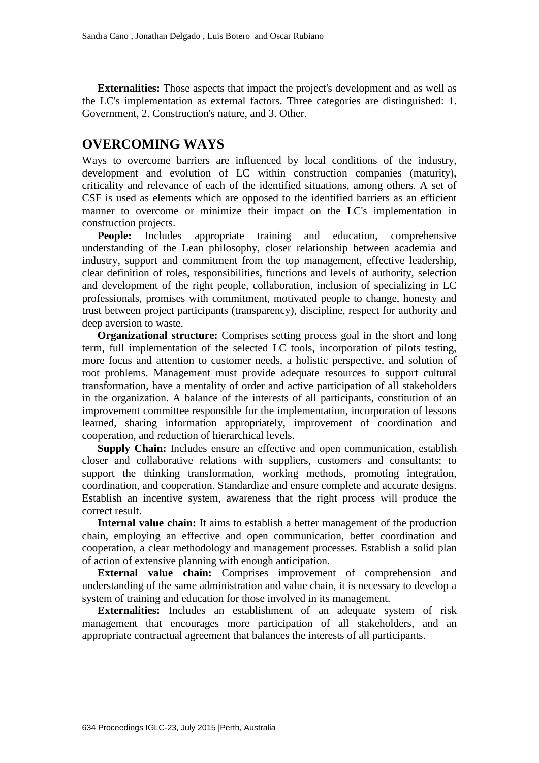**Externalities:** Those aspects that impact the project's development and as well as the LC's implementation as external factors. Three categories are distinguished: 1. Government, 2. Construction's nature, and 3. Other.

### **OVERCOMING WAYS**

Ways to overcome barriers are influenced by local conditions of the industry, development and evolution of LC within construction companies (maturity), criticality and relevance of each of the identified situations, among others. A set of CSF is used as elements which are opposed to the identified barriers as an efficient manner to overcome or minimize their impact on the LC's implementation in construction projects.

**People:** Includes appropriate training and education, comprehensive understanding of the Lean philosophy, closer relationship between academia and industry, support and commitment from the top management, effective leadership, clear definition of roles, responsibilities, functions and levels of authority, selection and development of the right people, collaboration, inclusion of specializing in LC professionals, promises with commitment, motivated people to change, honesty and trust between project participants (transparency), discipline, respect for authority and deep aversion to waste.

**Organizational structure:** Comprises setting process goal in the short and long term, full implementation of the selected LC tools, incorporation of pilots testing, more focus and attention to customer needs, a holistic perspective, and solution of root problems. Management must provide adequate resources to support cultural transformation, have a mentality of order and active participation of all stakeholders in the organization. A balance of the interests of all participants, constitution of an improvement committee responsible for the implementation, incorporation of lessons learned, sharing information appropriately, improvement of coordination and cooperation, and reduction of hierarchical levels.

**Supply Chain:** Includes ensure an effective and open communication, establish closer and collaborative relations with suppliers, customers and consultants; to support the thinking transformation, working methods, promoting integration, coordination, and cooperation. Standardize and ensure complete and accurate designs. Establish an incentive system, awareness that the right process will produce the correct result.

**Internal value chain:** It aims to establish a better management of the production chain, employing an effective and open communication, better coordination and cooperation, a clear methodology and management processes. Establish a solid plan of action of extensive planning with enough anticipation.

**External value chain:** Comprises improvement of comprehension and understanding of the same administration and value chain, it is necessary to develop a system of training and education for those involved in its management.

**Externalities:** Includes an establishment of an adequate system of risk management that encourages more participation of all stakeholders, and an appropriate contractual agreement that balances the interests of all participants.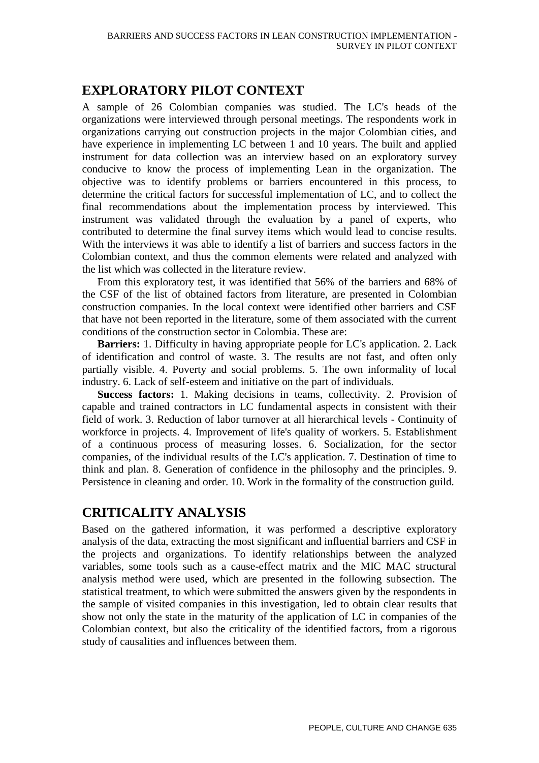# **EXPLORATORY PILOT CONTEXT**

A sample of 26 Colombian companies was studied. The LC's heads of the organizations were interviewed through personal meetings. The respondents work in organizations carrying out construction projects in the major Colombian cities, and have experience in implementing LC between 1 and 10 years. The built and applied instrument for data collection was an interview based on an exploratory survey conducive to know the process of implementing Lean in the organization. The objective was to identify problems or barriers encountered in this process, to determine the critical factors for successful implementation of LC, and to collect the final recommendations about the implementation process by interviewed. This instrument was validated through the evaluation by a panel of experts, who contributed to determine the final survey items which would lead to concise results. With the interviews it was able to identify a list of barriers and success factors in the Colombian context, and thus the common elements were related and analyzed with the list which was collected in the literature review.

From this exploratory test, it was identified that 56% of the barriers and 68% of the CSF of the list of obtained factors from literature, are presented in Colombian construction companies. In the local context were identified other barriers and CSF that have not been reported in the literature, some of them associated with the current conditions of the construction sector in Colombia. These are:

**Barriers:** 1. Difficulty in having appropriate people for LC's application. 2. Lack of identification and control of waste. 3. The results are not fast, and often only partially visible. 4. Poverty and social problems. 5. The own informality of local industry. 6. Lack of self-esteem and initiative on the part of individuals.

**Success factors:** 1. Making decisions in teams, collectivity. 2. Provision of capable and trained contractors in LC fundamental aspects in consistent with their field of work. 3. Reduction of labor turnover at all hierarchical levels - Continuity of workforce in projects. 4. Improvement of life's quality of workers. 5. Establishment of a continuous process of measuring losses. 6. Socialization, for the sector companies, of the individual results of the LC's application. 7. Destination of time to think and plan. 8. Generation of confidence in the philosophy and the principles. 9. Persistence in cleaning and order. 10. Work in the formality of the construction guild.

# **CRITICALITY ANALYSIS**

Based on the gathered information, it was performed a descriptive exploratory analysis of the data, extracting the most significant and influential barriers and CSF in the projects and organizations. To identify relationships between the analyzed variables, some tools such as a cause-effect matrix and the MIC MAC structural analysis method were used, which are presented in the following subsection. The statistical treatment, to which were submitted the answers given by the respondents in the sample of visited companies in this investigation, led to obtain clear results that show not only the state in the maturity of the application of LC in companies of the Colombian context, but also the criticality of the identified factors, from a rigorous study of causalities and influences between them.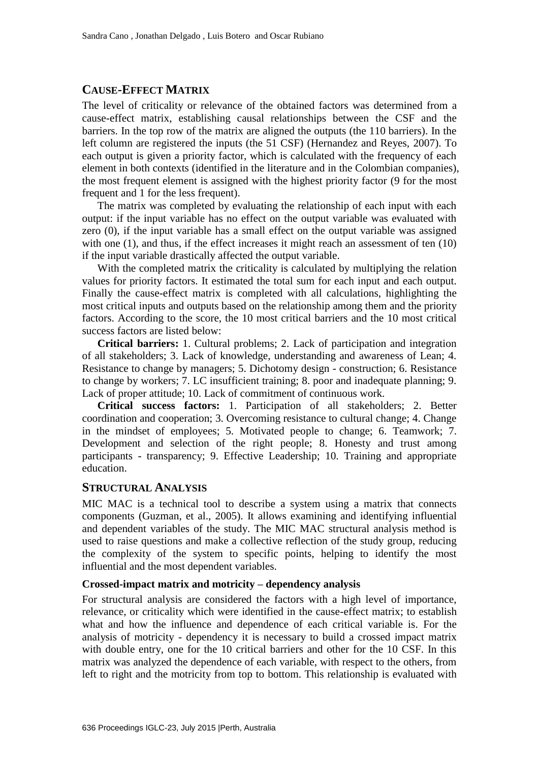#### **CAUSE-EFFECT MATRIX**

The level of criticality or relevance of the obtained factors was determined from a cause-effect matrix, establishing causal relationships between the CSF and the barriers. In the top row of the matrix are aligned the outputs (the 110 barriers). In the left column are registered the inputs (the 51 CSF) (Hernandez and Reyes, 2007). To each output is given a priority factor, which is calculated with the frequency of each element in both contexts (identified in the literature and in the Colombian companies), the most frequent element is assigned with the highest priority factor (9 for the most frequent and 1 for the less frequent).

The matrix was completed by evaluating the relationship of each input with each output: if the input variable has no effect on the output variable was evaluated with zero (0), if the input variable has a small effect on the output variable was assigned with one (1), and thus, if the effect increases it might reach an assessment of ten (10) if the input variable drastically affected the output variable.

With the completed matrix the criticality is calculated by multiplying the relation values for priority factors. It estimated the total sum for each input and each output. Finally the cause-effect matrix is completed with all calculations, highlighting the most critical inputs and outputs based on the relationship among them and the priority factors. According to the score, the 10 most critical barriers and the 10 most critical success factors are listed below:

**Critical barriers:** 1. Cultural problems; 2. Lack of participation and integration of all stakeholders; 3. Lack of knowledge, understanding and awareness of Lean; 4. Resistance to change by managers; 5. Dichotomy design - construction; 6. Resistance to change by workers; 7. LC insufficient training; 8. poor and inadequate planning; 9. Lack of proper attitude; 10. Lack of commitment of continuous work.

**Critical success factors:** 1. Participation of all stakeholders; 2. Better coordination and cooperation; 3. Overcoming resistance to cultural change; 4. Change in the mindset of employees; 5. Motivated people to change; 6. Teamwork; 7. Development and selection of the right people; 8. Honesty and trust among participants - transparency; 9. Effective Leadership; 10. Training and appropriate education.

#### **STRUCTURAL ANALYSIS**

MIC MAC is a technical tool to describe a system using a matrix that connects components (Guzman, et al., 2005). It allows examining and identifying influential and dependent variables of the study. The MIC MAC structural analysis method is used to raise questions and make a collective reflection of the study group, reducing the complexity of the system to specific points, helping to identify the most influential and the most dependent variables.

#### **Crossed-impact matrix and motricity – dependency analysis**

For structural analysis are considered the factors with a high level of importance, relevance, or criticality which were identified in the cause-effect matrix; to establish what and how the influence and dependence of each critical variable is. For the analysis of motricity - dependency it is necessary to build a crossed impact matrix with double entry, one for the 10 critical barriers and other for the 10 CSF. In this matrix was analyzed the dependence of each variable, with respect to the others, from left to right and the motricity from top to bottom. This relationship is evaluated with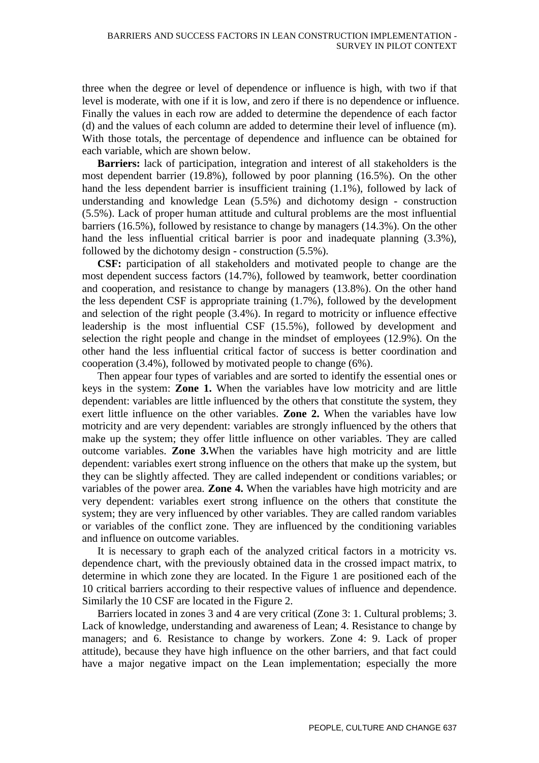three when the degree or level of dependence or influence is high, with two if that level is moderate, with one if it is low, and zero if there is no dependence or influence. Finally the values in each row are added to determine the dependence of each factor (d) and the values of each column are added to determine their level of influence (m). With those totals, the percentage of dependence and influence can be obtained for each variable, which are shown below.

**Barriers:** lack of participation, integration and interest of all stakeholders is the most dependent barrier (19.8%), followed by poor planning (16.5%). On the other hand the less dependent barrier is insufficient training (1.1%), followed by lack of understanding and knowledge Lean (5.5%) and dichotomy design - construction (5.5%). Lack of proper human attitude and cultural problems are the most influential barriers (16.5%), followed by resistance to change by managers (14.3%). On the other hand the less influential critical barrier is poor and inadequate planning (3.3%), followed by the dichotomy design - construction (5.5%).

**CSF:** participation of all stakeholders and motivated people to change are the most dependent success factors (14.7%), followed by teamwork, better coordination and cooperation, and resistance to change by managers (13.8%). On the other hand the less dependent CSF is appropriate training (1.7%), followed by the development and selection of the right people (3.4%). In regard to motricity or influence effective leadership is the most influential CSF (15.5%), followed by development and selection the right people and change in the mindset of employees (12.9%). On the other hand the less influential critical factor of success is better coordination and cooperation (3.4%), followed by motivated people to change (6%).

Then appear four types of variables and are sorted to identify the essential ones or keys in the system: **Zone 1.** When the variables have low motricity and are little dependent: variables are little influenced by the others that constitute the system, they exert little influence on the other variables. **Zone 2.** When the variables have low motricity and are very dependent: variables are strongly influenced by the others that make up the system; they offer little influence on other variables. They are called outcome variables. **Zone 3.**When the variables have high motricity and are little dependent: variables exert strong influence on the others that make up the system, but they can be slightly affected. They are called independent or conditions variables; or variables of the power area. **Zone 4.** When the variables have high motricity and are very dependent: variables exert strong influence on the others that constitute the system; they are very influenced by other variables. They are called random variables or variables of the conflict zone. They are influenced by the conditioning variables and influence on outcome variables.

It is necessary to graph each of the analyzed critical factors in a motricity vs. dependence chart, with the previously obtained data in the crossed impact matrix, to determine in which zone they are located. In the Figure 1 are positioned each of the 10 critical barriers according to their respective values of influence and dependence. Similarly the 10 CSF are located in the Figure 2.

Barriers located in zones 3 and 4 are very critical (Zone 3: 1. Cultural problems; 3. Lack of knowledge, understanding and awareness of Lean; 4. Resistance to change by managers; and 6. Resistance to change by workers. Zone 4: 9. Lack of proper attitude), because they have high influence on the other barriers, and that fact could have a major negative impact on the Lean implementation; especially the more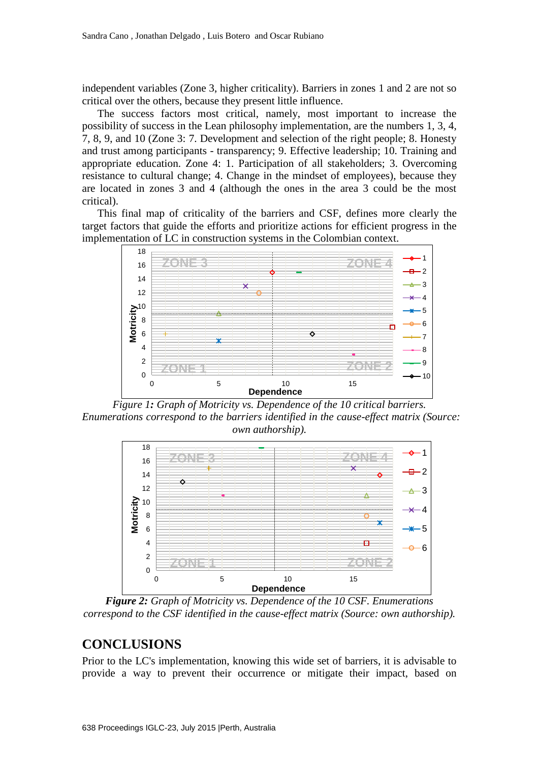independent variables (Zone 3, higher criticality). Barriers in zones 1 and 2 are not so critical over the others, because they present little influence.

The success factors most critical, namely, most important to increase the possibility of success in the Lean philosophy implementation, are the numbers 1, 3, 4, 7, 8, 9, and 10 (Zone 3: 7. Development and selection of the right people; 8. Honesty and trust among participants - transparency; 9. Effective leadership; 10. Training and appropriate education. Zone 4: 1. Participation of all stakeholders; 3. Overcoming resistance to cultural change; 4. Change in the mindset of employees), because they are located in zones 3 and 4 (although the ones in the area 3 could be the most critical).

This final map of criticality of the barriers and CSF, defines more clearly the target factors that guide the efforts and prioritize actions for efficient progress in the implementation of LC in construction systems in the Colombian context.



*Figure 1: Graph of Motricity vs. Dependence of the 10 critical barriers. Enumerations correspond to the barriers identified in the cause-effect matrix (Source: own authorship).*



*Figure 2: Graph of Motricity vs. Dependence of the 10 CSF. Enumerations correspond to the CSF identified in the cause-effect matrix (Source: own authorship).*

#### **CONCLUSIONS**

Prior to the LC's implementation, knowing this wide set of barriers, it is advisable to provide a way to prevent their occurrence or mitigate their impact, based on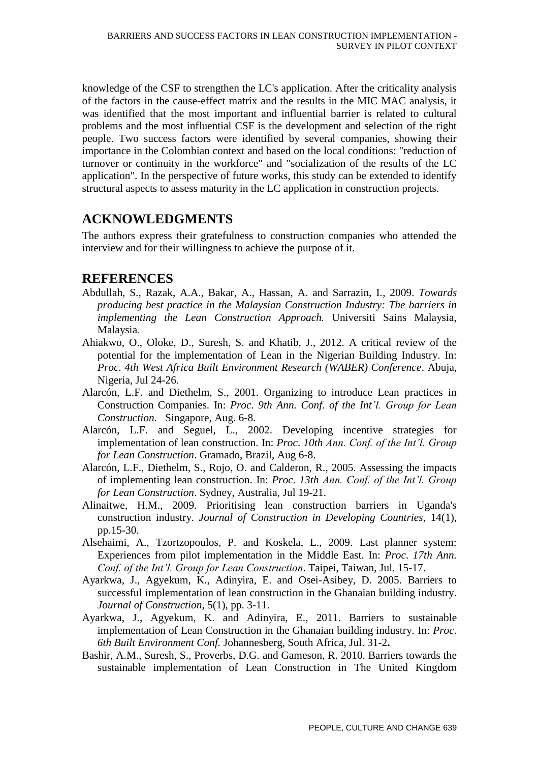knowledge of the CSF to strengthen the LC's application. After the criticality analysis of the factors in the cause-effect matrix and the results in the MIC MAC analysis, it was identified that the most important and influential barrier is related to cultural problems and the most influential CSF is the development and selection of the right people. Two success factors were identified by several companies, showing their importance in the Colombian context and based on the local conditions: "reduction of turnover or continuity in the workforce" and "socialization of the results of the LC application". In the perspective of future works, this study can be extended to identify structural aspects to assess maturity in the LC application in construction projects.

# **ACKNOWLEDGMENTS**

The authors express their gratefulness to construction companies who attended the interview and for their willingness to achieve the purpose of it.

# **REFERENCES**

- Abdullah, S., Razak, A.A., Bakar, A., Hassan, A. and Sarrazin, I., 2009. *Towards producing best practice in the Malaysian Construction Industry: The barriers in implementing the Lean Construction Approach.* Universiti Sains Malaysia, Malaysia.
- Ahiakwo, O., Oloke, D., Suresh, S. and Khatib, J., 2012. A critical review of the potential for the implementation of Lean in the Nigerian Building Industry. In: *Proc*. *4th West Africa Built Environment Research (WABER) Conference*. Abuja, Nigeria, Jul 24-26.
- Alarcón, L.F. and Diethelm, S., 2001. Organizing to introduce Lean practices in Construction Companies. In: *Proc*. *9th Ann. Conf. of the Int'l. Group for Lean Construction.* Singapore, Aug. 6-8.
- Alarcón, L.F. and Seguel, L., 2002. Developing incentive strategies for implementation of lean construction. In: *Proc*. *10th Ann. Conf. of the Int'l. Group for Lean Construction*. Gramado, Brazil, Aug 6-8.
- Alarcón, L.F., Diethelm, S., Rojo, O. and Calderon, R., 2005. Assessing the impacts of implementing lean construction. In: *Proc*. *13th Ann. Conf. of the Int'l. Group for Lean Construction*. Sydney, Australia, Jul 19-21.
- Alinaitwe, H.M., 2009. Prioritising lean construction barriers in Uganda's construction industry. *Journal of Construction in Developing Countries*, 14(1), pp.15-30.
- Alsehaimi, A., Tzortzopoulos, P. and Koskela, L., 2009. Last planner system: Experiences from pilot implementation in the Middle East. In: *Proc*. *17th Ann. Conf. of the Int'l. Group for Lean Construction*. Taipei, Taiwan, Jul. 15-17.
- Ayarkwa, J., Agyekum, K., Adinyira, E. and Osei-Asibey, D. 2005. Barriers to successful implementation of lean construction in the Ghanaian building industry. *Journal of Construction*, 5(1), pp. 3-11.
- Ayarkwa, J., Agyekum, K. and Adinyira, E., 2011. Barriers to sustainable implementation of Lean Construction in the Ghanaian building industry. In: *Proc*. *6th Built Environment Conf.* Johannesberg, South Africa, Jul. 31-2**.**
- Bashir, A.M., Suresh, S., Proverbs, D.G. and Gameson, R. 2010. Barriers towards the sustainable implementation of Lean Construction in The United Kingdom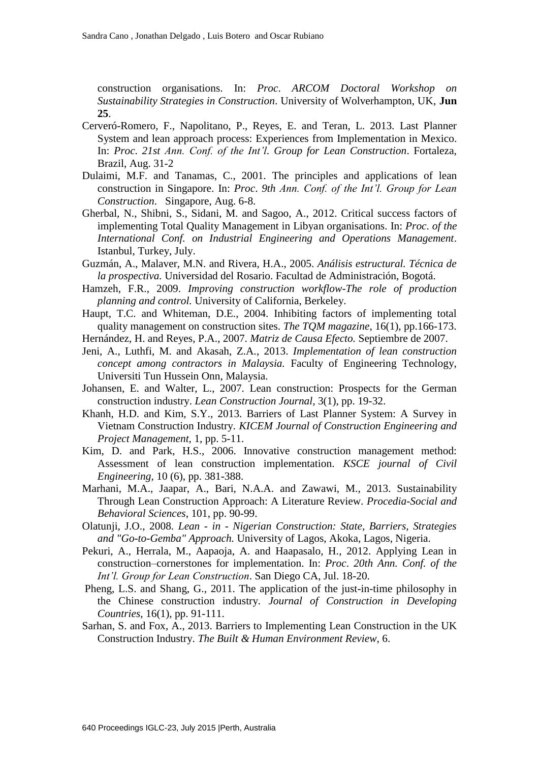construction organisations. In: *Proc*. *ARCOM Doctoral Workshop on Sustainability Strategies in Construction*. University of Wolverhampton, UK, **Jun 25**.

- Cerveró-Romero, F., Napolitano, P., Reyes, E. and Teran, L. 2013. Last Planner System and lean approach process: Experiences from Implementation in Mexico. In: *Proc*. *21st Ann. Conf. of the Int'l. Group for Lean Construction*. Fortaleza, Brazil, Aug. 31-2
- Dulaimi, M.F. and Tanamas, C., 2001. The principles and applications of lean construction in Singapore. In: *Proc*. *9th Ann. Conf. of the Int'l. Group for Lean Construction*. Singapore, Aug. 6-8.
- Gherbal, N., Shibni, S., Sidani, M. and Sagoo, A., 2012. Critical success factors of implementing Total Quality Management in Libyan organisations. In: *Proc*. *of the International Conf. on Industrial Engineering and Operations Management*. Istanbul, Turkey, July.
- Guzmán, A., Malaver, M.N. and Rivera, H.A., 2005. *Análisis estructural. Técnica de la prospectiva.* Universidad del Rosario. Facultad de Administración, Bogotá.
- Hamzeh, F.R., 2009. *Improving construction workflow-The role of production planning and control.* University of California, Berkeley.
- Haupt, T.C. and Whiteman, D.E., 2004. Inhibiting factors of implementing total quality management on construction sites. *The TQM magazine*, 16(1), pp.166-173.
- Hernández, H. and Reyes, P.A., 2007. *Matriz de Causa Efecto.* Septiembre de 2007.
- Jeni, A., Luthfi, M. and Akasah, Z.A., 2013. *Implementation of lean construction concept among contractors in Malaysia.* Faculty of Engineering Technology, Universiti Tun Hussein Onn, Malaysia.
- Johansen, E. and Walter, L., 2007. Lean construction: Prospects for the German construction industry. *Lean Construction Journal,* 3(1), pp. 19-32.
- Khanh, H.D. and Kim, S.Y., 2013. Barriers of Last Planner System: A Survey in Vietnam Construction Industry. *KICEM Journal of Construction Engineering and Project Management,* 1, pp. 5-11.
- Kim, D. and Park, H.S., 2006. Innovative construction management method: Assessment of lean construction implementation. *KSCE journal of Civil Engineering,* 10 (6), pp. 381-388.
- Marhani, M.A., Jaapar, A., Bari, N.A.A. and Zawawi, M., 2013. Sustainability Through Lean Construction Approach: A Literature Review. *Procedia-Social and Behavioral Sciences*, 101, pp. 90-99.
- Olatunji, J.O., 2008. *Lean - in - Nigerian Construction: State, Barriers, Strategies and "Go-to-Gemba" Approach.* University of Lagos, Akoka, Lagos, Nigeria.
- Pekuri, A., Herrala, M., Aapaoja, A. and Haapasalo, H., 2012. Applying Lean in construction–cornerstones for implementation. In: *Proc*. *20th Ann. Conf. of the Int'l. Group for Lean Construction*. San Diego CA, Jul. 18-20.
- Pheng, L.S. and Shang, G., 2011. The application of the just-in-time philosophy in the Chinese construction industry. *Journal of Construction in Developing Countries*, 16(1), pp. 91-111.
- Sarhan, S. and Fox, A., 2013. Barriers to Implementing Lean Construction in the UK Construction Industry. *The Built & Human Environment Review*, 6.